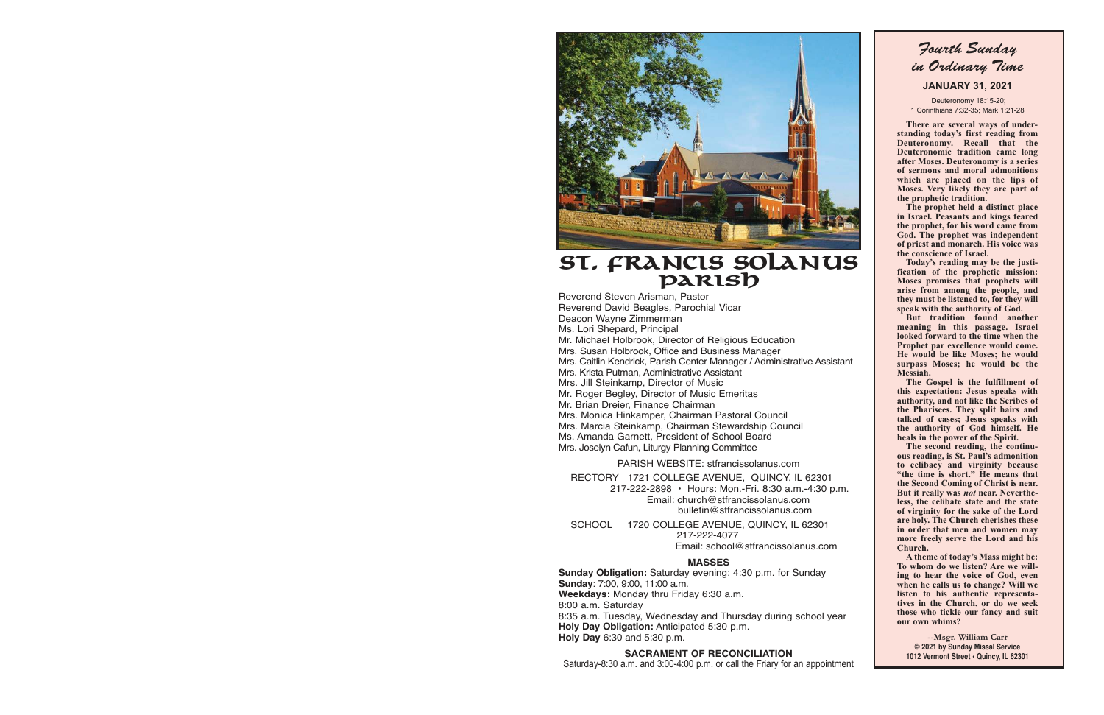

## **St. Francis Solanus Parish**

Reverend Steven Arisman, Pastor Reverend David Beagles, Parochial Vicar Deacon Wayne Zimmerman Ms. Lori Shepard, Principal Mr. Michael Holbrook, Director of Religious Education Mrs. Susan Holbrook, Office and Business Manager Mrs. Caitlin Kendrick, Parish Center Manager / Administrative Assistant Mrs. Krista Putman, Administrative Assistant Mrs. Jill Steinkamp, Director of Music Mr. Roger Begley, Director of Music Emeritas Mr. Brian Dreier, Finance Chairman Mrs. Monica Hinkamper, Chairman Pastoral Council Mrs. Marcia Steinkamp, Chairman Stewardship Council Ms. Amanda Garnett, President of School Board Mrs. Joselyn Cafun, Liturgy Planning Committee

PARISH WEBSITE: stfrancissolanus.com RECTORY 1721 COLLEGE AVENUE, QUINCY, IL 62301

217-222-2898 • Hours: Mon.-Fri. 8:30 a.m.-4:30 p.m. Email: church@stfrancissolanus.com bulletin@stfrancissolanus.com

 SCHOOL 1720 COLLEGE AVENUE, QUINCY, IL 62301 217-222-4077 Email: school@stfrancissolanus.com

#### **MASSES**

**Sunday Obligation:** Saturday evening: 4:30 p.m. for Sunday **Sunday**: 7:00, 9:00, 11:00 a.m. **Weekdays:** Monday thru Friday 6:30 a.m. 8:00 a.m. Saturday 8:35 a.m. Tuesday, Wednesday and Thursday during school year **Holy Day Obligation:** Anticipated 5:30 p.m. **Holy Day** 6:30 and 5:30 p.m.

#### **SACRAMENT OF RECONCILIATION**

Saturday-8:30 a.m. and 3:00-4:00 p.m. or call the Friary for an appointment

Fourth Sunday in Ordinary Time 

**JANUARY 31, 2021** 

 Deuteronomy 18:15-20; 1 Corinthians 7:32-35; Mark 1:21-28

 **There are several ways of understanding today's first reading from Deuteronomy. Recall that the Deuteronomic tradition came long after Moses. Deuteronomy is a series of sermons and moral admonitions which are placed on the lips of Moses. Very likely they are part of the prophetic tradition.** 

 **The prophet held a distinct place in Israel. Peasants and kings feared the prophet, for his word came from God. The prophet was independent of priest and monarch. His voice was the conscience of Israel.** 

 **Today's reading may be the justification of the prophetic mission: Moses promises that prophets will arise from among the people, and they must be listened to, for they will speak with the authority of God.** 

 **But tradition found another meaning in this passage. Israel looked forward to the time when the Prophet par excellence would come. He would be like Moses; he would surpass Moses; he would be the Messiah.** 

 **The Gospel is the fulfillment of this expectation: Jesus speaks with authority, and not like the Scribes of the Pharisees. They split hairs and talked of cases; Jesus speaks with the authority of God himself. He heals in the power of the Spirit.** 

 **The second reading, the continuous reading, is St. Paul's admonition to celibacy and virginity because "the time is short." He means that the Second Coming of Christ is near. But it really was** *not* **near. Nevertheless, the celibate state and the state of virginity for the sake of the Lord are holy. The Church cherishes these in order that men and women may more freely serve the Lord and his Church.** 

 **A theme of today's Mass might be: To whom do we listen? Are we willing to hear the voice of God, even when he calls us to change? Will we listen to his authentic representatives in the Church, or do we seek those who tickle our fancy and suit our own whims?** 

**--Msgr. William Carr © 2021 by Sunday Missal Service 1012 Vermont Street • Quincy, IL 62301**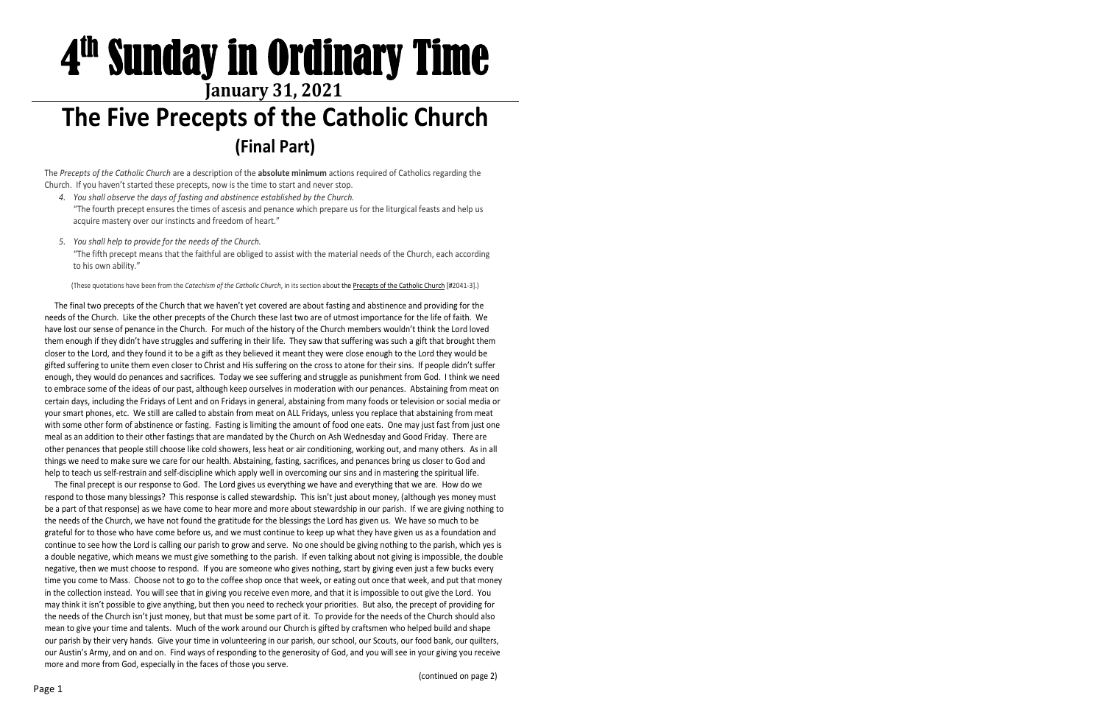# **The Five Precepts of the Catholic Church** 4<sup>th</sup> Sunday in Ordinary Time **January 31, 2021**

## **(Final Part)**

The *Precepts of the Catholic Church* are a description of the **absolute minimum** actions required of Catholics regarding the Church. If you haven't started these precepts, now is the time to start and never stop.

- *4. You shall observe the days of fasting and abstinence established by the Church.* "The fourth precept ensures the times of ascesis and penance which prepare us for the liturgical feasts and help us acquire mastery over our instincts and freedom of heart."
- *5. You shall help to provide for the needs of the Church.* "The fifth precept means that the faithful are obliged to assist with the material needs of the Church, each according to his own ability."

(These quotations have been from the *Catechism of the Catholic Church*, in its section about the Precepts of the Catholic Church [#2041-3].)

The final two precepts of the Church that we haven't yet covered are about fasting and abstinence and providing for the needs of the Church. Like the other precepts of the Church these last two are of utmost importance for the life of faith. We have lost our sense of penance in the Church. For much of the history of the Church members wouldn't think the Lord loved them enough if they didn't have struggles and suffering in their life. They saw that suffering was such a gift that brought them closer to the Lord, and they found it to be a gift as they believed it meant they were close enough to the Lord they would be gifted suffering to unite them even closer to Christ and His suffering on the cross to atone for their sins. If people didn't suffer enough, they would do penances and sacrifices. Today we see suffering and struggle as punishment from God. I think we need to embrace some of the ideas of our past, although keep ourselves in moderation with our penances. Abstaining from meat on certain days, including the Fridays of Lent and on Fridays in general, abstaining from many foods or television or social media or your smart phones, etc.We still are called to abstain from meat on ALL Fridays, unless you replace that abstaining from meat with some other form of abstinence or fasting. Fasting is limiting the amount of food one eats. One may just fast from just one meal as an addition to their other fastings that are mandated by the Church on Ash Wednesday and Good Friday. There are other penances that people still choose like cold showers, less heat or air conditioning, working out, and many others. As in all things we need to make sure we care for our health. Abstaining, fasting, sacrifices, and penances bring us closer to God and help to teach us self-restrain and self-discipline which apply well in overcoming our sins and in mastering the spiritual life.

The final precept is our response to God. The Lord gives us everything we have and everything that we are. How do we respond to those many blessings? This response is called stewardship. This isn't just about money, (although yes money must be a part of that response) as we have come to hear more and more about stewardship in our parish. If we are giving nothing to the needs of the Church, we have not found the gratitude for the blessings the Lord has given us. We have so much to be grateful for to those who have come before us, and we must continue to keep up what they have given us as a foundation and continue to see how the Lord is calling our parish to grow and serve. No one should be giving nothing to the parish, which yes is a double negative, which means we must give something to the parish. If even talking about not giving is impossible, the double negative, then we must choose to respond. If you are someone who gives nothing, start by giving even just a few bucks every time you come to Mass. Choose not to go to the coffee shop once that week, or eating out once that week, and put that money in the collection instead. You will see that in giving you receive even more, and that it is impossible to out give the Lord. You may think it isn't possible to give anything, but then you need to recheck your priorities. But also, the precept of providing for the needs of the Church isn't just money, but that must be some part of it. To provide for the needs of the Church should also mean to give your time and talents. Much of the work around our Church is gifted by craftsmen who helped build and shape our parish by their very hands. Give your time in volunteering in our parish, our school, our Scouts, our food bank, our quilters, our Austin's Army, and on and on. Find ways of responding to the generosity of God, and you will see in your giving you receive more and more from God, especially in the faces of those you serve.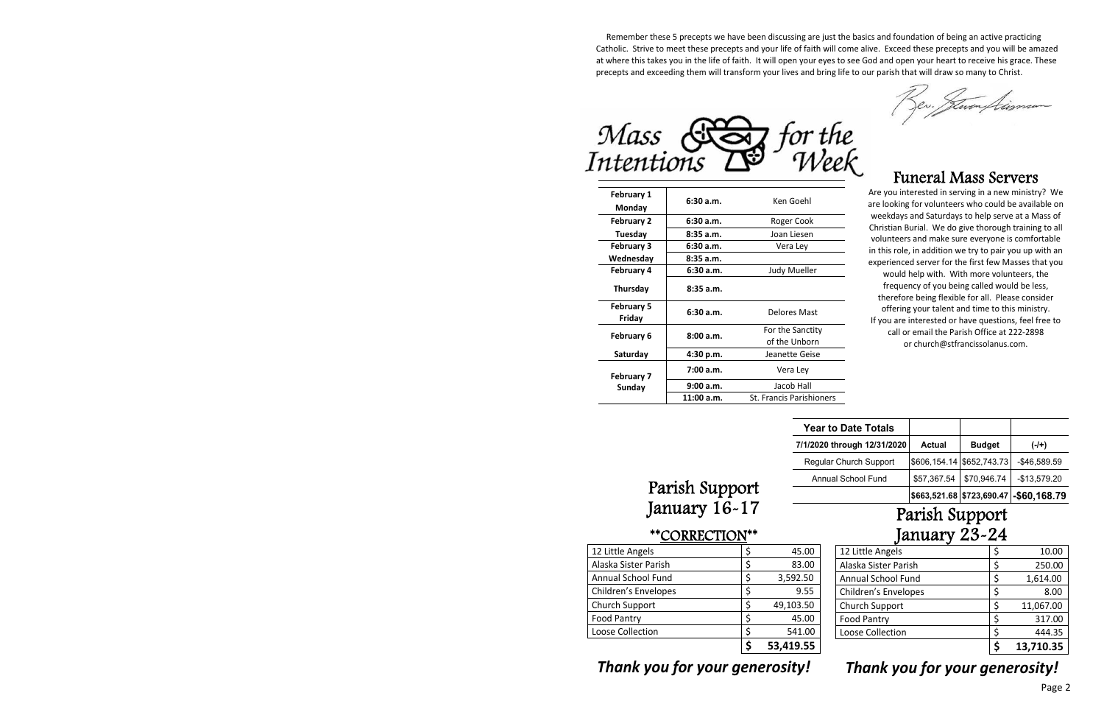Remember these 5 precepts we have been discussing are just the basics and foundation of being an active practicing Catholic. Strive to meet these precepts and your life of faith will come alive. Exceed these precepts and you will be amazed at where this takes you in the life of faith. It will open your eyes to see God and open your heart to receive his grace. These precepts and exceeding them will transform your lives and bring life to our parish that will draw so many to Christ.



| <b>February 1</b><br>Monday | 6:30a.m.   | Ken Goehl                         |  |
|-----------------------------|------------|-----------------------------------|--|
| <b>February 2</b>           | 6:30a.m.   | Roger Cook                        |  |
| Tuesday                     | 8:35a.m.   | Joan Liesen                       |  |
| <b>February 3</b>           | 6:30a.m.   | Vera Ley                          |  |
| Wednesday                   | 8:35a.m.   |                                   |  |
| <b>February 4</b>           | 6:30a.m.   | Judy Mueller                      |  |
| Thursday                    | 8:35a.m.   |                                   |  |
| <b>February 5</b><br>Friday | 6:30a.m.   | Delores Mast                      |  |
| February 6                  | 8:00a.m.   | For the Sanctity<br>of the Unborn |  |
| Saturday                    | 4:30 p.m.  | Jeanette Geise                    |  |
| <b>February 7</b>           | 7:00a.m.   | Vera Lev                          |  |
| Sunday                      | 9:00a.m.   | Jacob Hall                        |  |
|                             | 11:00 a.m. | <b>St. Francis Parishioners</b>   |  |

### Funeral Mass Servers

Are you interested in serving in a new ministry? We are looking for volunteers who could be available on weekdays and Saturdays to help serve at a Mass of Christian Burial.We do give thorough training to all volunteers and make sure everyone is comfortable in this role, in addition we try to pair you up with an experienced server for the first few Masses that you would help with. With more volunteers, the frequency of you being called would be less, therefore being flexible for all. Please consider offering your talent and time to this ministry. If you are interested or have questions, feel free to call or email the Parish Office at 222-2898 or church@stfrancissolanus.com.

| <b>Year to Date Totals</b>  |             |                             |                                         |
|-----------------------------|-------------|-----------------------------|-----------------------------------------|
| 7/1/2020 through 12/31/2020 | Actual      | <b>Budget</b>               | (-/+)                                   |
| Regular Church Support      |             | \$606,154.14   \$652,743.73 | $-$46,589.59$                           |
| Annual School Fund          | \$57,367.54 | \$70,946.74                 | $-$13,579.20$                           |
|                             |             |                             | \$663,521.68 \$723,690.47 - \$60,168.79 |

# Parish Support January 16-17

#### \*\*CORRECTION\*\*

| 12 Little Angels            |    | 45.00     |
|-----------------------------|----|-----------|
| Alaska Sister Parish        | Ś. | 83.00     |
| <b>Annual School Fund</b>   | \$ | 3,592.50  |
| <b>Children's Envelopes</b> | \$ | 9.55      |
| Church Support              | Ś  | 49,103.50 |
| <b>Food Pantry</b>          | \$ | 45.00     |
| Loose Collection            |    | 541.00    |
|                             |    | 53,419.55 |

# Parish Support January 23-24

| Loose Collection            |    | 444.35<br>13,710.35 |
|-----------------------------|----|---------------------|
| <b>Food Pantry</b>          | \$ | 317.00              |
| Church Support              | ς  | 11,067.00           |
| <b>Children's Envelopes</b> | \$ | 8.00                |
| Annual School Fund          | \$ | 1,614.00            |
| Alaska Sister Parish        | Ś  | 250.00              |
| 12 Little Angels            | \$ | 10.00               |

## *Thank you for your generosity!*

# *Thank you for your generosity!*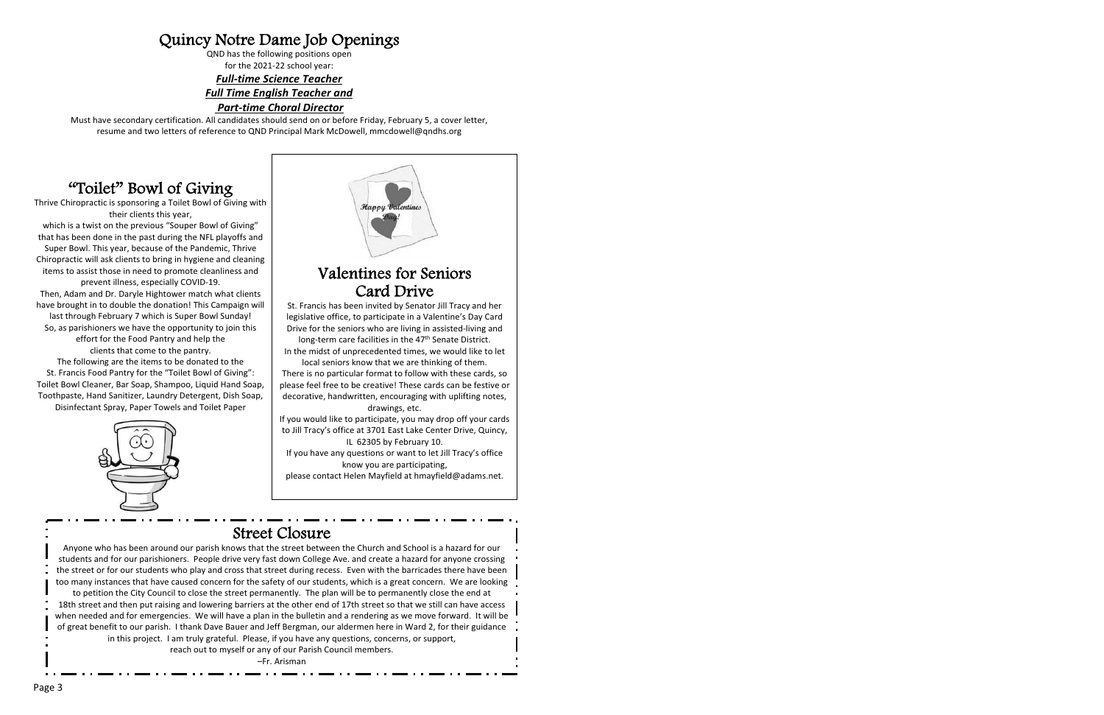## Quincy Notre Dame Job Openings

QND has the following positions open for the 2021-22 school year:

*<i><u>Full-time Science Teacher</u> Full Time English Teacher and*

#### $Part-time Choral Director$

Must have secondary certification. All candidates should send on or before Friday, February 5, a cover letter, resume and two letters of reference to QND Principal Mark McDowell, mmcdowell@qndhs.org

## "Toilet" Bowl of Giving

Thrive Chiropractic is sponsoring a Toilet Bowl of Giving with their clients this year,

which is a twist on the previous "Souper Bowl of Giving" that has been done in the past during the NFL playoffs and Super Bowl. This year, because of the Pandemic, Thrive Chiropractic will ask clients to bring in hygiene and cleaning items to assist those in need to promote cleanliness and prevent illness, especially COVID-19. Then, Adam and Dr. Daryle Hightower match what clients have brought in to double the donation! This Campaign will last through February 7 which is Super Bowl Sunday! So, as parishioners we have the opportunity to join this

effort for the Food Pantry and help the clients that come to the pantry.

The following are the items to be donated to the St. Francis Food Pantry for the "Toilet Bowl of Giving": Toilet Bowl Cleaner, Bar Soap, Shampoo, Liquid Hand Soap, Toothpaste, Hand Sanitizer, Laundry Detergent, Dish Soap, Disinfectant Spray, Paper Towels and Toilet Paper





### Valentines for Seniors Card Drive

St. Francis has been invited by Senator Jill Tracy and her legislative office, to participate in a Valentine's Day Card Drive for the seniors who are living in assisted-living and

long-term care facilities in the 47<sup>th</sup> Senate District. In the midst of unprecedented times, we would like to let

local seniors know that we are thinking of them. There is no particular format to follow with these cards, so please feel free to be creative! These cards can be festive or decorative, handwritten, encouraging with uplifting notes, drawings, etc.

If you would like to participate, you may drop off your cards to Jill Tracy's office at 3701 East Lake Center Drive, Quincy, IL 62305 by February 10.

If you have any questions or want to let Jill Tracy's office know you are participating,

please contact Helen Mayfield at hmayfield@adams.net.

### Street Closure

Anyone who has been around our parish knows that the street between the Church and School is a hazard for our students and for our parishioners. People drive very fast down College Ave. and create a hazard for anyone crossing the street or for our students who play and cross that street during recess. Even with the barricades there have been too many instances that have caused concern for the safety of our students, which is a great concern. We are looking

to petition the City Council to close the street permanently. The plan will be to permanently close the end at 18th street and then put raising and lowering barriers at the other end of 17th street so that we still can have access when needed and for emergencies. We will have a plan in the bulletin and a rendering as we move forward. It will be of great benefit to our parish. I thank Dave Bauer and Jeff Bergman, our aldermen here in Ward 2, for their guidance in this project. I am truly grateful. Please, if you have any questions, concerns, or support,

reach out to myself or any of our Parish Council members.

–Fr. Arisman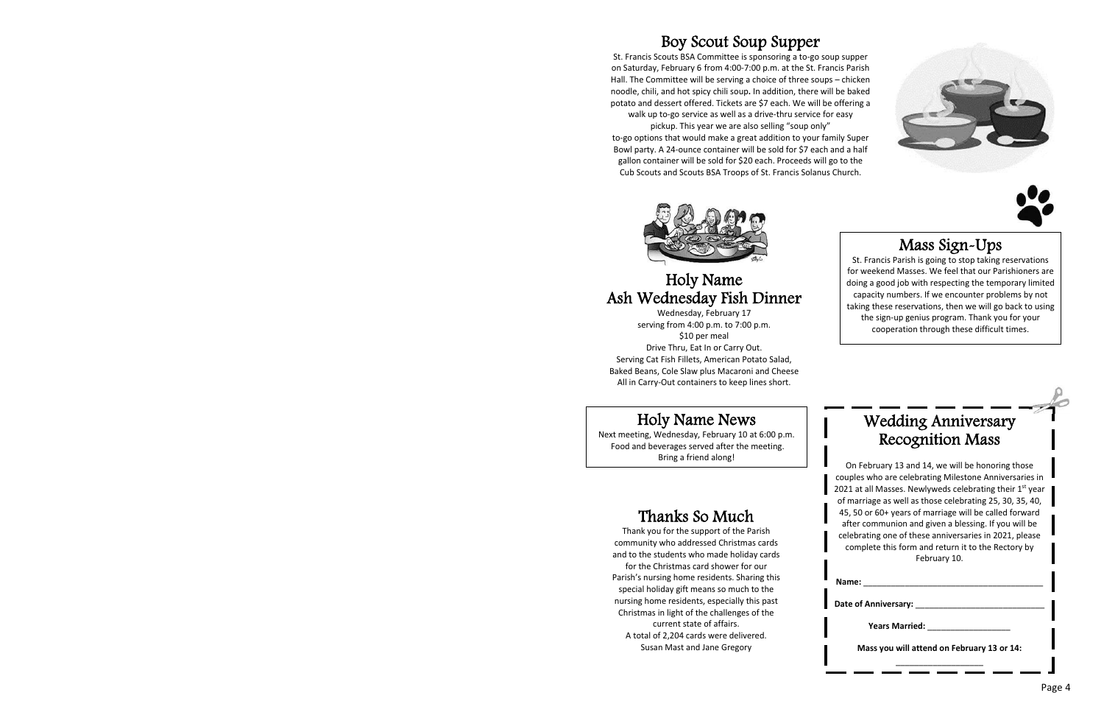## Boy Scout Soup Supper

St. Francis Scouts BSA Committee is sponsoring a to-go soup supper on Saturday, February 6 from 4:00-7:00 p.m. at the St. Francis Parish Hall. The Committee will be serving a choice of three soups – chicken noodle, chili, and hot spicy chili soup**.** In addition, there will be baked potato and dessert offered. Tickets are \$7 each. We will be offering a walk up to-go service as well as a drive-thru service for easy

pickup. This year we are also selling "soup only" to-go options that would make a great addition to your family Super Bowl party. A 24-ounce container will be sold for \$7 each and a half gallon container will be sold for \$20 each. Proceeds will go to the Cub Scouts and Scouts BSA Troops of St. Francis Solanus Church.





# Ash Wednesday Fish Dinner

Wednesday, February 17 serving from 4:00 p.m. to 7:00 p.m. \$10 per meal Drive Thru, Eat In or Carry Out. Serving Cat Fish Fillets, American Potato Salad, Baked Beans, Cole Slaw plus Macaroni and Cheese All in Carry-Out containers to keep lines short.

## Mass Sign-Ups

St. Francis Parish is going to stop taking reservations for weekend Masses. We feel that our Parishioners are doing a good job with respecting the temporary limited capacity numbers. If we encounter problems by not taking these reservations, then we will go back to using the sign-up genius program. Thank you for your cooperation through these difficult times. Mass Sign-Ups<br>
St. Francis Parish is going to stop taking<br>
Holy Name<br>
Holy Name<br>
Holy Name<br>
Boing a good job with respecting the temp

## Holy Name News

Next meeting, Wednesday, February 10 at 6:00 p.m. Food and beverages served after the meeting. Bring a friend along!

# Thanks So Much

Thank you for the support of the Parish community who addressed Christmas cards and to the students who made holiday cards for the Christmas card shower for our Parish's nursing home residents. Sharing this special holiday gift means so much to the nursing home residents, especially this past Christmas in light of the challenges of the current state of affairs. A total of 2,204 cards were delivered. Susan Mast and Jane Gregory

## Wedding Anniversary Recognition Mass

On February 13 and 14, we will be honoring those couples who are celebrating Milestone Anniversaries in 2021 at all Masses. Newlyweds celebrating their 1st year of marriage as well as those celebrating 25, 30, 35, 40, 45, 50 or 60+ years of marriage will be called forward after communion and given a blessing. If you will be celebrating one of these anniversaries in 2021, please complete this form and return it to the Rectory by February 10.

Name:

**Date of Anniversary:** \_\_\_\_\_\_\_\_\_\_\_\_\_\_\_\_\_\_\_\_\_\_\_\_\_\_\_\_

**Years Married:** \_\_\_\_\_\_\_\_\_\_\_\_\_\_\_\_\_\_

**Mass you will attend on February 13 or 14:**  $\_$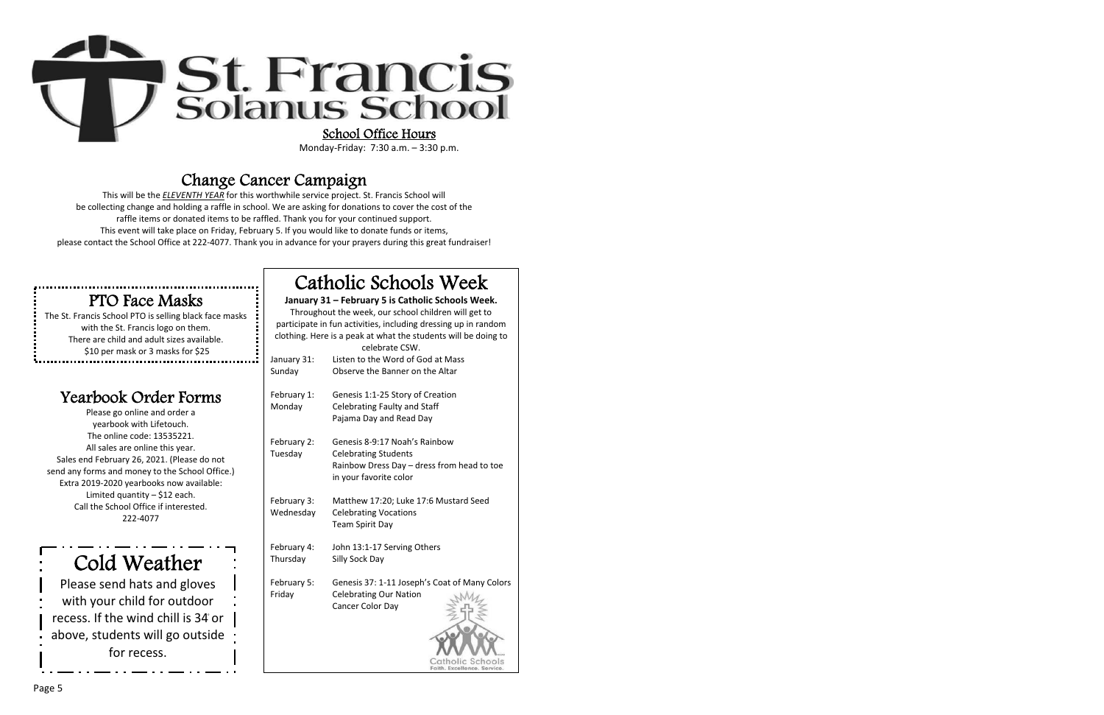

## Change Cancer Campaign

This will be the *ELEVENTH YEAR* for this worthwhile service project. St. Francis School will be collecting change and holding a raffle in school. We are asking for donations to cover the cost of the raffle items or donated items to be raffled. Thank you for your continued support. This event will take place on Friday, February 5. If you would like to donate funds or items, please contact the School Office at 222-4077. Thank you in advance for your prayers during this great fundraiser!

## PTO Face Masks

The St. Francis School PTO is selling black face masks with the St. Francis logo on them. There are child and adult sizes available. \$10 per mask or 3 masks for \$25

## Yearbook Order Forms

Please go online and order a yearbook with Lifetouch. The online code: 13535221. All sales are online this year. Sales end February 26, 2021. (Please do not send any forms and money to the School Office.) Extra 2019-2020 yearbooks now available: Limited quantity  $-$  \$12 each. Call the School Office if interested. 222Ͳ4077

Cold Weather

Please send hats and gloves with your child for outdoor recess. If the wind chill is 34 or above, students will go outside for recess.

# Catholic Schools Week

#### **January 31 – February 5 is Catholic Schools Week.**

Throughout the week, our school children will get to participate in fun activities, including dressing up in random clothing. Here is a peak at what the students will be doing to

|             | celebrate CSW.                                |
|-------------|-----------------------------------------------|
| January 31: | Listen to the Word of God at Mass             |
| Sunday      | Observe the Banner on the Altar               |
|             |                                               |
| February 1: | Genesis 1:1-25 Story of Creation              |
| Monday      | Celebrating Faulty and Staff                  |
|             | Pajama Day and Read Day                       |
|             |                                               |
| February 2: | Genesis 8-9:17 Noah's Rainbow                 |
| Tuesday     | <b>Celebrating Students</b>                   |
|             | Rainbow Dress Day - dress from head to toe    |
|             | in your favorite color                        |
|             |                                               |
| February 3: | Matthew 17:20; Luke 17:6 Mustard Seed         |
| Wednesday   | <b>Celebrating Vocations</b>                  |
|             | <b>Team Spirit Day</b>                        |
|             |                                               |
| February 4: | John 13:1-17 Serving Others                   |
| Thursday    | Silly Sock Day                                |
|             |                                               |
| February 5: | Genesis 37: 1-11 Joseph's Coat of Many Colors |
| Friday      | <b>Celebrating Our Nation</b>                 |
|             | Cancer Color Day                              |
|             |                                               |
|             |                                               |
|             |                                               |
|             |                                               |
|             |                                               |

Catholic Schools<br>Faith, Excellence, Service,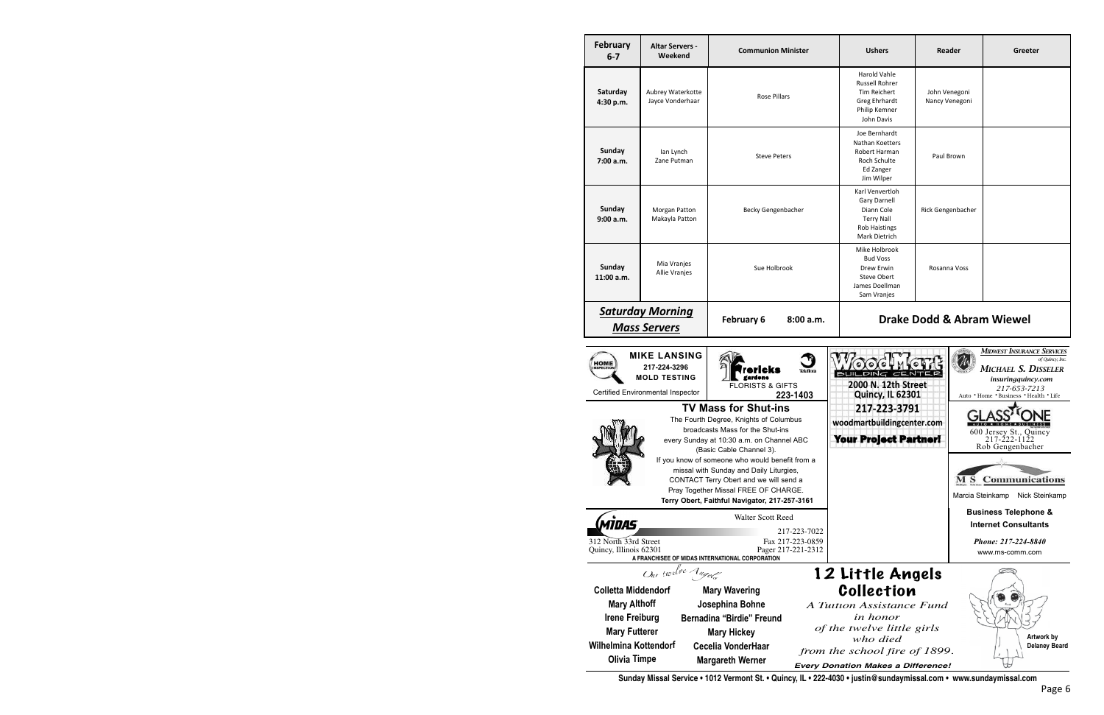| <b>February</b><br>$6 - 7$                      | <b>Altar Servers -</b><br>Weekend                                                                                                                       | <b>Communion Minister</b>                                                                                                                                                                                                     | <b>Ushers</b>                                                                                                                                      | Reader                          | Greeter                                                                                                                                                     |
|-------------------------------------------------|---------------------------------------------------------------------------------------------------------------------------------------------------------|-------------------------------------------------------------------------------------------------------------------------------------------------------------------------------------------------------------------------------|----------------------------------------------------------------------------------------------------------------------------------------------------|---------------------------------|-------------------------------------------------------------------------------------------------------------------------------------------------------------|
| Saturday<br>4:30 p.m.                           | Aubrey Waterkotte<br>Jayce Vonderhaar                                                                                                                   | Rose Pillars                                                                                                                                                                                                                  | <b>Harold Vahle</b><br><b>Russell Rohrer</b><br>Tim Reichert<br>Greg Ehrhardt<br>Philip Kemner<br>John Davis                                       | John Venegoni<br>Nancy Venegoni |                                                                                                                                                             |
| Sunday<br>7:00 a.m.                             | lan Lynch<br>Zane Putman                                                                                                                                | <b>Steve Peters</b>                                                                                                                                                                                                           | Joe Bernhardt<br>Nathan Koetters<br>Robert Harman<br>Roch Schulte<br>Ed Zanger<br>Jim Wilper                                                       | Paul Brown                      |                                                                                                                                                             |
| Sunday<br>9:00 a.m.                             | <b>Morgan Patton</b><br>Makayla Patton                                                                                                                  | Becky Gengenbacher                                                                                                                                                                                                            | Karl Venvertloh<br><b>Gary Darnell</b><br>Diann Cole<br><b>Terry Nall</b><br><b>Rob Haistings</b><br><b>Mark Dietrich</b>                          | Rick Gengenbacher               |                                                                                                                                                             |
| Sunday<br>$11:00$ a.m.                          | Mia Vranjes<br>Allie Vranjes                                                                                                                            | Sue Holbrook                                                                                                                                                                                                                  | Mike Holbrook<br><b>Bud Voss</b><br><b>Drew Erwin</b><br><b>Steve Obert</b><br>James Doellman<br>Sam Vranjes                                       | Rosanna Voss                    |                                                                                                                                                             |
|                                                 | <b>Saturday Morning</b><br><b>Drake Dodd &amp; Abram Wiewel</b><br>February 6<br>8:00 a.m.<br><b>Mass Servers</b>                                       |                                                                                                                                                                                                                               |                                                                                                                                                    |                                 |                                                                                                                                                             |
| <b>HOME</b><br><b>INSPECTIO</b>                 | <b>MIKE LANSING</b><br>217-224-3296<br><b>MOLD TESTING</b><br>Certified Environmental Inspector                                                         | icks<br>Teleflora<br>gardens<br><b>FLORISTS &amp; GIFTS</b><br>223-1403<br><b>TV Mass for Shut-ins</b><br>The Fourth Degree, Knights of Columbus                                                                              | $\bullet$<br>BUILDING CE<br>2000 N. 12th Street<br><b>Quincy, IL 62301</b><br>217-223-3791                                                         |                                 | <b>MIDWEST INSURANCE SERVICES</b><br>of Quincy, Inc.<br>MICHAEL S. DISSELER<br>insuringquincy.com<br>217-653-7213<br>Auto . Home . Business . Health . Life |
|                                                 |                                                                                                                                                         | broadcasts Mass for the Shut-ins<br>every Sunday at 10:30 a.m. on Channel ABC<br>(Basic Cable Channel 3).                                                                                                                     | woodmartbuildingcenter.com<br><b>Your Project Partner!</b>                                                                                         |                                 | 600 Jersey St., Quincy<br>217-222-1122<br>Rob Gengenbacher                                                                                                  |
|                                                 |                                                                                                                                                         | If you know of someone who would benefit from a<br>missal with Sunday and Daily Liturgies,<br>CONTACT Terry Obert and we will send a<br>Pray Together Missal FREE OF CHARGE.<br>Terry Obert, Faithful Navigator, 217-257-3161 |                                                                                                                                                    |                                 | <b>MS</b> Communications<br>Marcia Steinkamp<br>Nick Steinkamp                                                                                              |
| <i><b>MIDAS</b></i>                             |                                                                                                                                                         | Walter Scott Reed                                                                                                                                                                                                             |                                                                                                                                                    |                                 | <b>Business Telephone &amp;</b><br><b>Internet Consultants</b>                                                                                              |
| 312 North 33rd Street<br>Quincy, Illinois 62301 |                                                                                                                                                         | 217-223-7022<br>Fax 217-223-0859<br>Pager 217-221-2312<br>A FRANCHISEE OF MIDAS INTERNATIONAL CORPORATION                                                                                                                     |                                                                                                                                                    |                                 | Phone: 217-224-8840<br>www.ms-comm.com                                                                                                                      |
|                                                 | Our twelve Angels<br><b>Colletta Middendorf</b><br><b>Mary Althoff</b><br><b>Irene Freiburg</b><br><b>Mary Futterer</b><br><b>Wilhelmina Kottendorf</b> | <b>Mary Wavering</b><br>Josephina Bohne<br><b>Bernadina "Birdie" Freund</b><br><b>Mary Hickey</b><br>Cecelia VonderHaar                                                                                                       | 12 Little Angels<br>Collection<br>A Tuition Assistance Fund<br>in honor<br>of the twelve little girls<br>who died<br>from the school fire of 1899. |                                 | Artwork by<br><b>Delaney Beard</b>                                                                                                                          |
|                                                 | <b>Olivia Timpe</b>                                                                                                                                     | <b>Margareth Werner</b>                                                                                                                                                                                                       | <b>Every Donation Makes a Difference!</b>                                                                                                          |                                 |                                                                                                                                                             |

**Sunday Missal Service • 1012 Vermont St. • Quincy, IL • 222-4030 • justin@sundaymissal.com • www.sundaymissal.com**